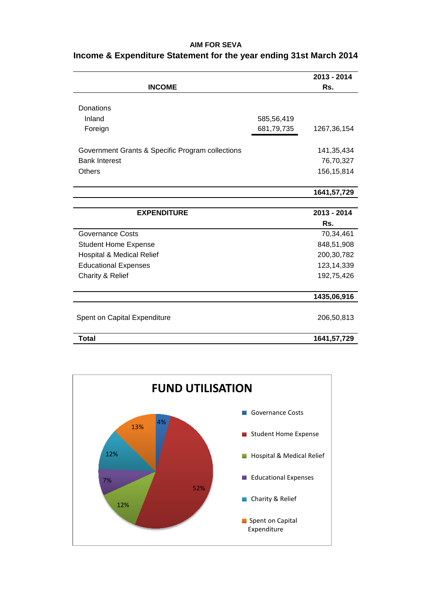## **AIM FOR SEVA**

|                                                  |            | 2013 - 2014   |
|--------------------------------------------------|------------|---------------|
| <b>INCOME</b>                                    |            | Rs.           |
|                                                  |            |               |
| Donations                                        |            |               |
| Inland                                           | 585,56,419 |               |
| Foreign                                          | 681,79,735 | 1267,36,154   |
| Government Grants & Specific Program collections |            | 141, 35, 434  |
| <b>Bank Interest</b>                             |            | 76,70,327     |
| <b>Others</b>                                    |            | 156, 15, 814  |
|                                                  |            | 1641, 57, 729 |
|                                                  |            |               |
| <b>EXPENDITURE</b>                               |            | 2013 - 2014   |
|                                                  |            | Rs.           |
| <b>Governance Costs</b>                          |            | 70,34,461     |
| <b>Student Home Expense</b>                      |            | 848,51,908    |
| Hospital & Medical Relief                        |            | 200,30,782    |
| <b>Educational Expenses</b>                      |            | 123,14,339    |
| Charity & Relief                                 |            | 192,75,426    |
|                                                  |            | 1435,06,916   |
| Spent on Capital Expenditure                     |            | 206,50,813    |
| <b>Total</b>                                     |            | 1641,57,729   |

## **Income & Expenditure Statement for the year ending 31st March 2014**